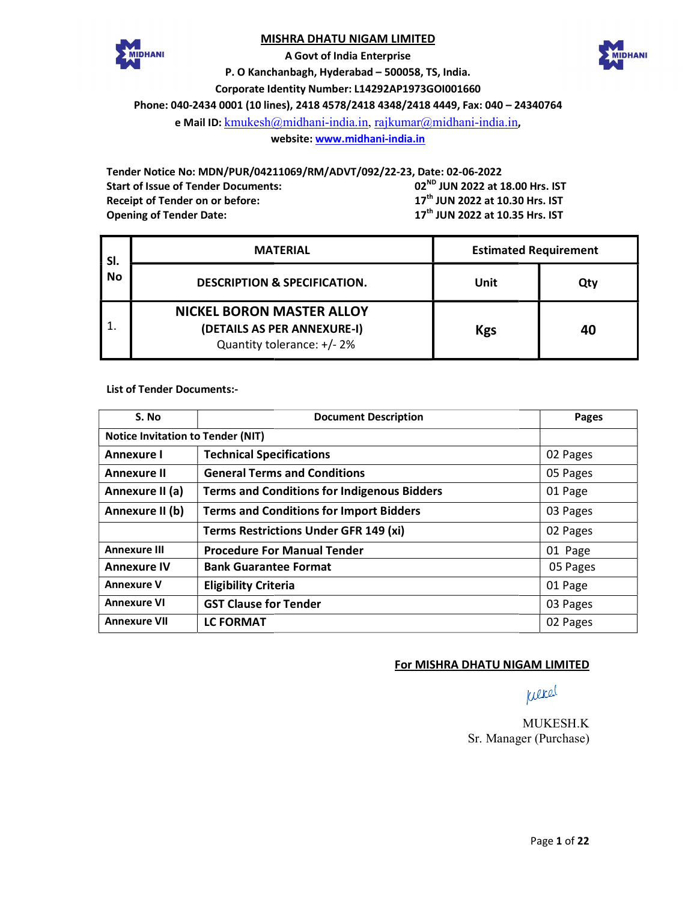# MISHRA DHATU NIGAM LIMITED





P. O Kanchanbagh, Hyderabad - 500058, TS, India. Corporate Identity Number: L14292AP1973GOI001660 Phone: 040-2434 0001 (10 lines), 2418 4578/2418 4348/2418 4449, Fax: 040 - 24340764 A Govt of India Enterprise

e Mail ID: <u>kmukesh@midhani-india.in, rajkumar@midhani-india.in</u>,

website: <u>www.midhani-india.in</u>

Tender Notice No: MDN/PUR/04211069/RM/ADVT/092/22-23, Date: 02-06-2022 Start of Issue of Tender Documents: Receipt of Tender on or before: Opening of Tender Date: Documents:  $02^{ND}$  JUN 2022 at 18.00 Hrs. IST  $17<sup>th</sup>$  JUN 2022 at 10.30 Hrs. IST  $17<sup>th</sup>$  JUN 2022 at 10.35 Hrs. IST

| SI.<br>No | <b>MATERIAL</b>                                                                               | <b>Estimated Requirement</b> |     |  |
|-----------|-----------------------------------------------------------------------------------------------|------------------------------|-----|--|
|           | <b>DESCRIPTION &amp; SPECIFICATION.</b>                                                       | Unit                         | Qty |  |
|           | <b>NICKEL BORON MASTER ALLOY</b><br>(DETAILS AS PER ANNEXURE-I)<br>Quantity tolerance: +/- 2% | <b>Kgs</b>                   | 40  |  |

List of Tender Documents:-

| S. No                                    | <b>Document Description</b>                        | Pages    |  |  |  |
|------------------------------------------|----------------------------------------------------|----------|--|--|--|
| <b>Notice Invitation to Tender (NIT)</b> |                                                    |          |  |  |  |
| Annexure I                               | <b>Technical Specifications</b>                    | 02 Pages |  |  |  |
| <b>Annexure II</b>                       | <b>General Terms and Conditions</b>                | 05 Pages |  |  |  |
| Annexure II (a)                          | <b>Terms and Conditions for Indigenous Bidders</b> | 01 Page  |  |  |  |
| Annexure II (b)                          | <b>Terms and Conditions for Import Bidders</b>     | 03 Pages |  |  |  |
|                                          | <b>Terms Restrictions Under GFR 149 (xi)</b>       | 02 Pages |  |  |  |
| <b>Annexure III</b>                      | <b>Procedure For Manual Tender</b>                 | 01 Page  |  |  |  |
| <b>Annexure IV</b>                       | <b>Bank Guarantee Format</b>                       | 05 Pages |  |  |  |
| <b>Annexure V</b>                        | <b>Eligibility Criteria</b>                        | 01 Page  |  |  |  |
| <b>Annexure VI</b>                       | <b>GST Clause for Tender</b>                       | 03 Pages |  |  |  |
| <b>Annexure VII</b>                      | <b>LC FORMAT</b>                                   | 02 Pages |  |  |  |
|                                          | For MISHRA DHATU NIGAM LIMITED                     |          |  |  |  |

# **For MISHRA DHATU NIGAM LIMITED**

wered

Sr. Manager Manager (Purchase) MUKESH.K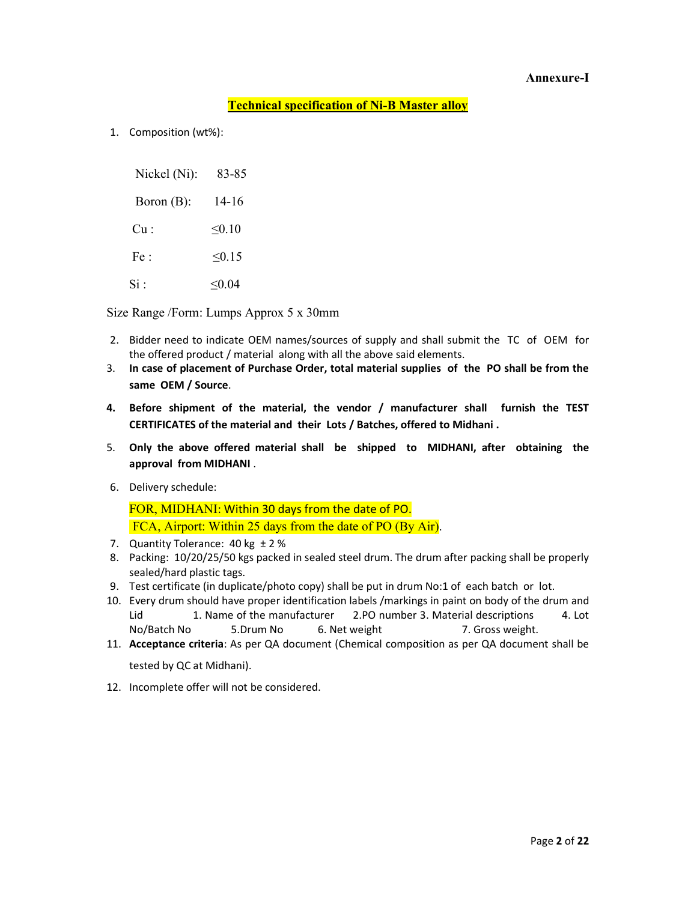## Annexure-I

# Technical specification of Ni-B Master alloy

1. Composition (wt%):

| Nickel (Ni):  | 83-85       |
|---------------|-------------|
| Boron $(B)$ : | 14-16       |
| Cu:           | $\leq 0.10$ |
| Fe:           | $\leq 0.15$ |
| Si ·          | < 0.04      |

Size Range /Form: Lumps Approx 5 x 30mm

- 2. Bidder need to indicate OEM names/sources of supply and shall submit the TC of OEM for the offered product / material along with all the above said elements.
- 3. In case of placement of Purchase Order, total material supplies of the PO shall be from the same OEM / Source.
- 4. Before shipment of the material, the vendor / manufacturer shall furnish the TEST CERTIFICATES of the material and their Lots / Batches, offered to Midhani .
- 5. Only the above offered material shall be shipped to MIDHANI, after obtaining the approval from MIDHANI .
- 6. Delivery schedule:

FOR, MIDHANI: Within 30 days from the date of PO. FCA, Airport: Within 25 days from the date of PO (By Air).

- 7. Quantity Tolerance: 40 kg ± 2 %
- 8. Packing: 10/20/25/50 kgs packed in sealed steel drum. The drum after packing shall be properly sealed/hard plastic tags.
- 9. Test certificate (in duplicate/photo copy) shall be put in drum No:1 of each batch or lot.
- 10. Every drum should have proper identification labels /markings in paint on body of the drum and Lid 1. Name of the manufacturer 2.PO number 3. Material descriptions 4. Lot No/Batch No 5.Drum No 6. Net weight 7. Gross weight.
- 11. Acceptance criteria: As per QA document (Chemical composition as per QA document shall be tested by QC at Midhani).
- 12. Incomplete offer will not be considered.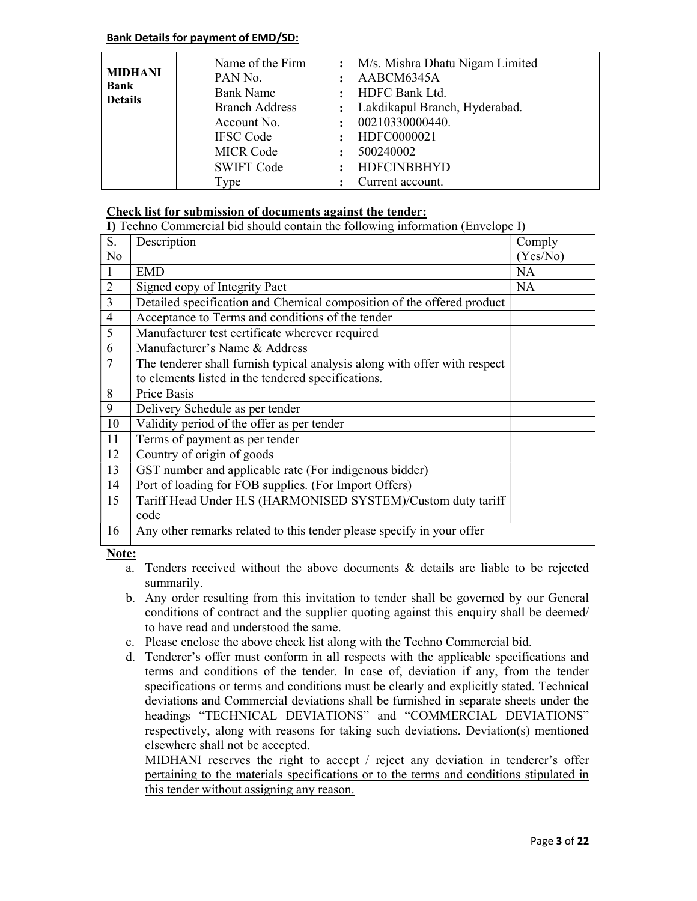# Bank Details for payment of EMD/SD:

| <b>MIDHANI</b><br><b>Bank</b><br><b>Details</b> | Name of the Firm<br>PAN No.<br><b>Bank Name</b><br><b>Branch Address</b><br>Account No.<br><b>IFSC Code</b><br><b>MICR Code</b> | $\ddot{\cdot}$ | : M/s. Mishra Dhatu Nigam Limited<br>AABCM6345A<br>HDFC Bank Ltd.<br>: Lakdikapul Branch, Hyderabad.<br>00210330000440.<br>HDFC0000021<br>500240002 |
|-------------------------------------------------|---------------------------------------------------------------------------------------------------------------------------------|----------------|-----------------------------------------------------------------------------------------------------------------------------------------------------|
|                                                 | <b>SWIFT Code</b>                                                                                                               |                | <b>HDFCINBBHYD</b>                                                                                                                                  |
|                                                 | Type                                                                                                                            |                | Current account.                                                                                                                                    |

# Check list for submission of documents against the tender:

|                         | I) Techno Commercial bid should contain the following information (Envelope I) |          |
|-------------------------|--------------------------------------------------------------------------------|----------|
| S.                      | Description                                                                    | Comply   |
| No                      |                                                                                | (Yes/No) |
| $\mathbf{1}$            | <b>EMD</b>                                                                     | NA       |
| $\overline{2}$          | Signed copy of Integrity Pact                                                  | NA       |
| $\overline{\mathbf{3}}$ | Detailed specification and Chemical composition of the offered product         |          |
| $\overline{4}$          | Acceptance to Terms and conditions of the tender                               |          |
| $\overline{5}$          | Manufacturer test certificate wherever required                                |          |
| 6                       | Manufacturer's Name & Address                                                  |          |
| $\overline{7}$          | The tenderer shall furnish typical analysis along with offer with respect      |          |
|                         | to elements listed in the tendered specifications.                             |          |
| 8                       | Price Basis                                                                    |          |
| 9                       | Delivery Schedule as per tender                                                |          |
| 10                      | Validity period of the offer as per tender                                     |          |
| 11                      | Terms of payment as per tender                                                 |          |
| 12                      | Country of origin of goods                                                     |          |
| 13                      | GST number and applicable rate (For indigenous bidder)                         |          |
| 14                      | Port of loading for FOB supplies. (For Import Offers)                          |          |
| 15                      | Tariff Head Under H.S (HARMONISED SYSTEM)/Custom duty tariff                   |          |
|                         | code                                                                           |          |
| 16                      | Any other remarks related to this tender please specify in your offer          |          |
| Note:                   |                                                                                |          |

- a. Tenders received without the above documents & details are liable to be rejected summarily.
- b. Any order resulting from this invitation to tender shall be governed by our General conditions of contract and the supplier quoting against this enquiry shall be deemed/ to have read and understood the same.
- c. Please enclose the above check list along with the Techno Commercial bid.
- d. Tenderer's offer must conform in all respects with the applicable specifications and terms and conditions of the tender. In case of, deviation if any, from the tender specifications or terms and conditions must be clearly and explicitly stated. Technical deviations and Commercial deviations shall be furnished in separate sheets under the headings "TECHNICAL DEVIATIONS" and "COMMERCIAL DEVIATIONS" respectively, along with reasons for taking such deviations. Deviation(s) mentioned elsewhere shall not be accepted.

MIDHANI reserves the right to accept / reject any deviation in tenderer's offer pertaining to the materials specifications or to the terms and conditions stipulated in this tender without assigning any reason.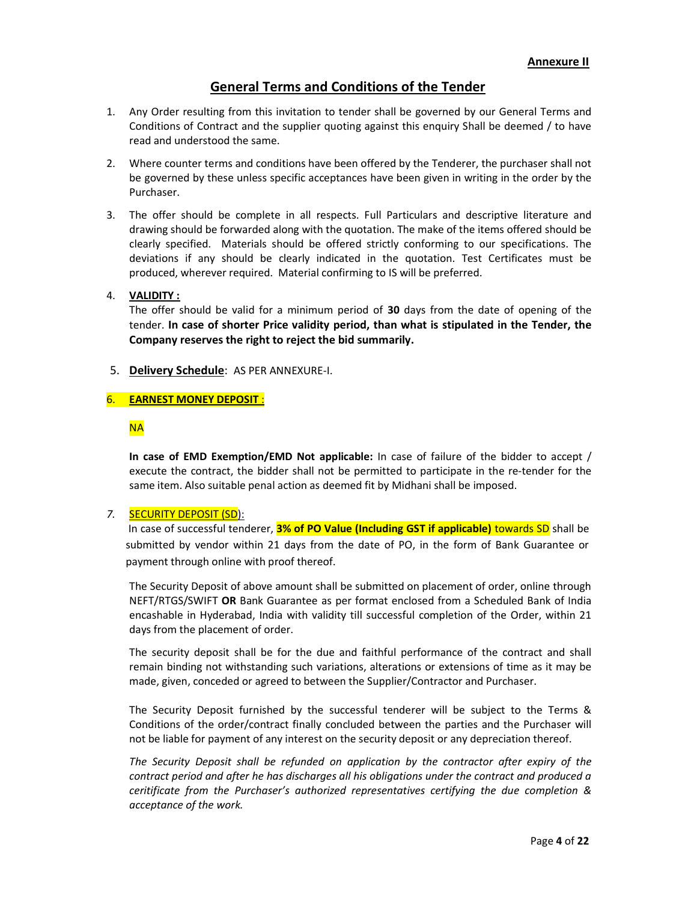# General Terms and Conditions of the Tender

- 1. Any Order resulting from this invitation to tender shall be governed by our General Terms and Conditions of Contract and the supplier quoting against this enquiry Shall be deemed / to have read and understood the same.
- 2. Where counter terms and conditions have been offered by the Tenderer, the purchaser shall not be governed by these unless specific acceptances have been given in writing in the order by the Purchaser.
- 3. The offer should be complete in all respects. Full Particulars and descriptive literature and drawing should be forwarded along with the quotation. The make of the items offered should be clearly specified. Materials should be offered strictly conforming to our specifications. The deviations if any should be clearly indicated in the quotation. Test Certificates must be produced, wherever required. Material confirming to IS will be preferred.

#### 4. VALIDITY :

The offer should be valid for a minimum period of 30 days from the date of opening of the tender. In case of shorter Price validity period, than what is stipulated in the Tender, the Company reserves the right to reject the bid summarily.

5. Delivery Schedule: AS PER ANNEXURE-I.

#### 6. EARNEST MONEY DEPOSIT :

## NA

In case of EMD Exemption/EMD Not applicable: In case of failure of the bidder to accept / execute the contract, the bidder shall not be permitted to participate in the re-tender for the same item. Also suitable penal action as deemed fit by Midhani shall be imposed.

#### 7. SECURITY DEPOSIT (SD):

In case of successful tenderer, **3% of PO Value (Including GST if applicable)** towards SD shall be submitted by vendor within 21 days from the date of PO, in the form of Bank Guarantee or payment through online with proof thereof.

The Security Deposit of above amount shall be submitted on placement of order, online through NEFT/RTGS/SWIFT OR Bank Guarantee as per format enclosed from a Scheduled Bank of India encashable in Hyderabad, India with validity till successful completion of the Order, within 21 days from the placement of order.

The security deposit shall be for the due and faithful performance of the contract and shall remain binding not withstanding such variations, alterations or extensions of time as it may be made, given, conceded or agreed to between the Supplier/Contractor and Purchaser.

The Security Deposit furnished by the successful tenderer will be subject to the Terms & Conditions of the order/contract finally concluded between the parties and the Purchaser will not be liable for payment of any interest on the security deposit or any depreciation thereof.

The Security Deposit shall be refunded on application by the contractor after expiry of the contract period and after he has discharges all his obligations under the contract and produced a ceritificate from the Purchaser's authorized representatives certifying the due completion & acceptance of the work.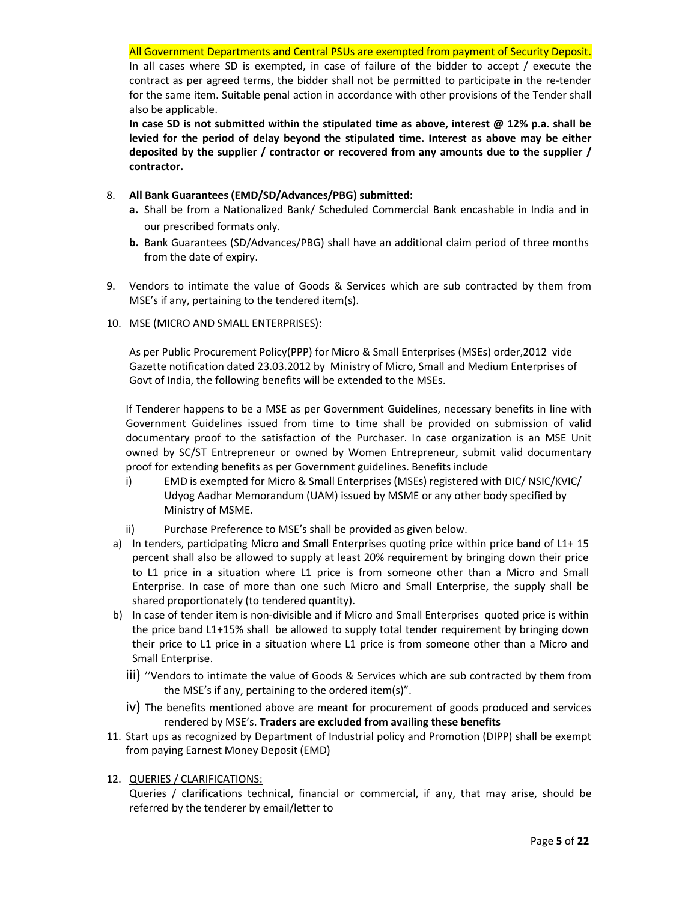In all cases where SD is exempted, in case of failure of the bidder to accept / execute the contract as per agreed terms, the bidder shall not be permitted to participate in the re-tender for the same item. Suitable penal action in accordance with other provisions of the Tender shall also be applicable.

In case SD is not submitted within the stipulated time as above, interest  $\omega$  12% p.a. shall be levied for the period of delay beyond the stipulated time. Interest as above may be either deposited by the supplier / contractor or recovered from any amounts due to the supplier / contractor.

- 8. All Bank Guarantees (EMD/SD/Advances/PBG) submitted:
	- a. Shall be from a Nationalized Bank/ Scheduled Commercial Bank encashable in India and in our prescribed formats only.
	- b. Bank Guarantees (SD/Advances/PBG) shall have an additional claim period of three months from the date of expiry.
- 9. Vendors to intimate the value of Goods & Services which are sub contracted by them from MSE's if any, pertaining to the tendered item(s).
- 10. MSE (MICRO AND SMALL ENTERPRISES):

As per Public Procurement Policy(PPP) for Micro & Small Enterprises (MSEs) order,2012 vide Gazette notification dated 23.03.2012 by Ministry of Micro, Small and Medium Enterprises of Govt of India, the following benefits will be extended to the MSEs.

If Tenderer happens to be a MSE as per Government Guidelines, necessary benefits in line with Government Guidelines issued from time to time shall be provided on submission of valid documentary proof to the satisfaction of the Purchaser. In case organization is an MSE Unit owned by SC/ST Entrepreneur or owned by Women Entrepreneur, submit valid documentary proof for extending benefits as per Government guidelines. Benefits include

- i) EMD is exempted for Micro & Small Enterprises (MSEs) registered with DIC/ NSIC/KVIC/ Udyog Aadhar Memorandum (UAM) issued by MSME or any other body specified by Ministry of MSME.
- ii) Purchase Preference to MSE's shall be provided as given below.
- a) In tenders, participating Micro and Small Enterprises quoting price within price band of L1+ 15 percent shall also be allowed to supply at least 20% requirement by bringing down their price to L1 price in a situation where L1 price is from someone other than a Micro and Small Enterprise. In case of more than one such Micro and Small Enterprise, the supply shall be shared proportionately (to tendered quantity).
- b) In case of tender item is non-divisible and if Micro and Small Enterprises quoted price is within the price band L1+15% shall be allowed to supply total tender requirement by bringing down their price to L1 price in a situation where L1 price is from someone other than a Micro and Small Enterprise.
	- iii) ''Vendors to intimate the value of Goods & Services which are sub contracted by them from the MSE's if any, pertaining to the ordered item(s)".
	- iv) The benefits mentioned above are meant for procurement of goods produced and services rendered by MSE's. Traders are excluded from availing these benefits
- 11. Start ups as recognized by Department of Industrial policy and Promotion (DIPP) shall be exempt from paying Earnest Money Deposit (EMD)

# 12. QUERIES / CLARIFICATIONS:

Queries / clarifications technical, financial or commercial, if any, that may arise, should be referred by the tenderer by email/letter to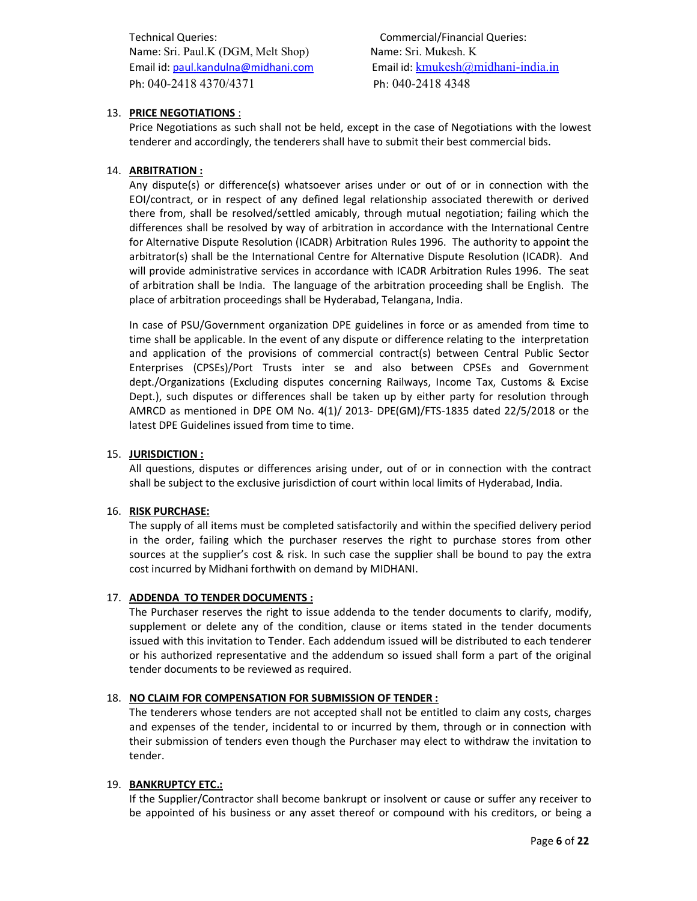Technical Queries: Commercial/Financial Queries: Name: Sri. Paul.K (DGM, Melt Shop) Name: Sri. Mukesh. K Ph: 040-2418 4370/4371 Ph: 040-2418 4348

Email id: paul.kandulna@midhani.com Email id: kmukesh@midhani-india.in

# 13. PRICE NEGOTIATIONS :

Price Negotiations as such shall not be held, except in the case of Negotiations with the lowest tenderer and accordingly, the tenderers shall have to submit their best commercial bids.

## 14. ARBITRATION :

Any dispute(s) or difference(s) whatsoever arises under or out of or in connection with the EOI/contract, or in respect of any defined legal relationship associated therewith or derived there from, shall be resolved/settled amicably, through mutual negotiation; failing which the differences shall be resolved by way of arbitration in accordance with the International Centre for Alternative Dispute Resolution (ICADR) Arbitration Rules 1996. The authority to appoint the arbitrator(s) shall be the International Centre for Alternative Dispute Resolution (ICADR). And will provide administrative services in accordance with ICADR Arbitration Rules 1996. The seat of arbitration shall be India. The language of the arbitration proceeding shall be English. The place of arbitration proceedings shall be Hyderabad, Telangana, India.

In case of PSU/Government organization DPE guidelines in force or as amended from time to time shall be applicable. In the event of any dispute or difference relating to the interpretation and application of the provisions of commercial contract(s) between Central Public Sector Enterprises (CPSEs)/Port Trusts inter se and also between CPSEs and Government dept./Organizations (Excluding disputes concerning Railways, Income Tax, Customs & Excise Dept.), such disputes or differences shall be taken up by either party for resolution through AMRCD as mentioned in DPE OM No. 4(1)/ 2013- DPE(GM)/FTS-1835 dated 22/5/2018 or the latest DPE Guidelines issued from time to time.

#### 15. JURISDICTION :

All questions, disputes or differences arising under, out of or in connection with the contract shall be subject to the exclusive jurisdiction of court within local limits of Hyderabad, India.

#### 16. RISK PURCHASE:

The supply of all items must be completed satisfactorily and within the specified delivery period in the order, failing which the purchaser reserves the right to purchase stores from other sources at the supplier's cost & risk. In such case the supplier shall be bound to pay the extra cost incurred by Midhani forthwith on demand by MIDHANI.

#### 17. ADDENDA TO TENDER DOCUMENTS :

The Purchaser reserves the right to issue addenda to the tender documents to clarify, modify, supplement or delete any of the condition, clause or items stated in the tender documents issued with this invitation to Tender. Each addendum issued will be distributed to each tenderer or his authorized representative and the addendum so issued shall form a part of the original tender documents to be reviewed as required.

#### 18. NO CLAIM FOR COMPENSATION FOR SUBMISSION OF TENDER :

The tenderers whose tenders are not accepted shall not be entitled to claim any costs, charges and expenses of the tender, incidental to or incurred by them, through or in connection with their submission of tenders even though the Purchaser may elect to withdraw the invitation to tender.

#### 19. BANKRUPTCY ETC.:

If the Supplier/Contractor shall become bankrupt or insolvent or cause or suffer any receiver to be appointed of his business or any asset thereof or compound with his creditors, or being a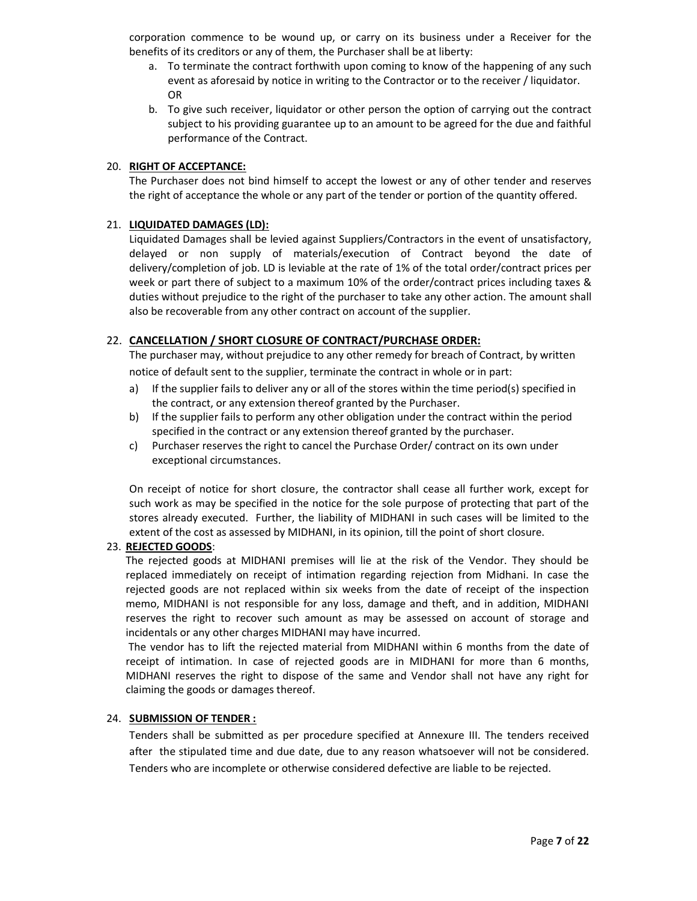corporation commence to be wound up, or carry on its business under a Receiver for the benefits of its creditors or any of them, the Purchaser shall be at liberty:

- a. To terminate the contract forthwith upon coming to know of the happening of any such event as aforesaid by notice in writing to the Contractor or to the receiver / liquidator. OR
- b. To give such receiver, liquidator or other person the option of carrying out the contract subject to his providing guarantee up to an amount to be agreed for the due and faithful performance of the Contract.

#### 20. RIGHT OF ACCEPTANCE:

The Purchaser does not bind himself to accept the lowest or any of other tender and reserves the right of acceptance the whole or any part of the tender or portion of the quantity offered.

#### 21. LIQUIDATED DAMAGES (LD):

Liquidated Damages shall be levied against Suppliers/Contractors in the event of unsatisfactory, delayed or non supply of materials/execution of Contract beyond the date of delivery/completion of job. LD is leviable at the rate of 1% of the total order/contract prices per week or part there of subject to a maximum 10% of the order/contract prices including taxes & duties without prejudice to the right of the purchaser to take any other action. The amount shall also be recoverable from any other contract on account of the supplier.

#### 22. CANCELLATION / SHORT CLOSURE OF CONTRACT/PURCHASE ORDER:

The purchaser may, without prejudice to any other remedy for breach of Contract, by written notice of default sent to the supplier, terminate the contract in whole or in part:

- a) If the supplier fails to deliver any or all of the stores within the time period(s) specified in the contract, or any extension thereof granted by the Purchaser.
- b) If the supplier fails to perform any other obligation under the contract within the period specified in the contract or any extension thereof granted by the purchaser.
- c) Purchaser reserves the right to cancel the Purchase Order/ contract on its own under exceptional circumstances.

On receipt of notice for short closure, the contractor shall cease all further work, except for such work as may be specified in the notice for the sole purpose of protecting that part of the stores already executed. Further, the liability of MIDHANI in such cases will be limited to the extent of the cost as assessed by MIDHANI, in its opinion, till the point of short closure.

#### 23. REJECTED GOODS:

The rejected goods at MIDHANI premises will lie at the risk of the Vendor. They should be replaced immediately on receipt of intimation regarding rejection from Midhani. In case the rejected goods are not replaced within six weeks from the date of receipt of the inspection memo, MIDHANI is not responsible for any loss, damage and theft, and in addition, MIDHANI reserves the right to recover such amount as may be assessed on account of storage and incidentals or any other charges MIDHANI may have incurred.

 The vendor has to lift the rejected material from MIDHANI within 6 months from the date of receipt of intimation. In case of rejected goods are in MIDHANI for more than 6 months, MIDHANI reserves the right to dispose of the same and Vendor shall not have any right for claiming the goods or damages thereof.

#### 24. SUBMISSION OF TENDER :

Tenders shall be submitted as per procedure specified at Annexure III. The tenders received after the stipulated time and due date, due to any reason whatsoever will not be considered. Tenders who are incomplete or otherwise considered defective are liable to be rejected.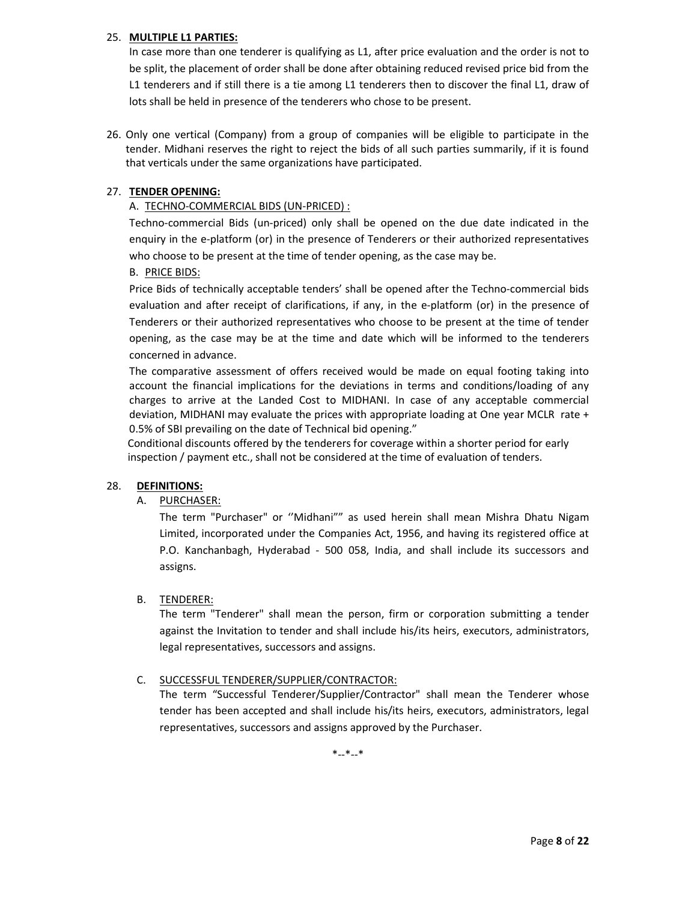## 25. MULTIPLE L1 PARTIES:

In case more than one tenderer is qualifying as L1, after price evaluation and the order is not to be split, the placement of order shall be done after obtaining reduced revised price bid from the L1 tenderers and if still there is a tie among L1 tenderers then to discover the final L1, draw of lots shall be held in presence of the tenderers who chose to be present.

26. Only one vertical (Company) from a group of companies will be eligible to participate in the tender. Midhani reserves the right to reject the bids of all such parties summarily, if it is found that verticals under the same organizations have participated.

## 27. TENDER OPENING:

# A. TECHNO-COMMERCIAL BIDS (UN-PRICED) :

Techno-commercial Bids (un-priced) only shall be opened on the due date indicated in the enquiry in the e-platform (or) in the presence of Tenderers or their authorized representatives who choose to be present at the time of tender opening, as the case may be.

## B. PRICE BIDS:

Price Bids of technically acceptable tenders' shall be opened after the Techno-commercial bids evaluation and after receipt of clarifications, if any, in the e-platform (or) in the presence of Tenderers or their authorized representatives who choose to be present at the time of tender opening, as the case may be at the time and date which will be informed to the tenderers concerned in advance.

The comparative assessment of offers received would be made on equal footing taking into account the financial implications for the deviations in terms and conditions/loading of any charges to arrive at the Landed Cost to MIDHANI. In case of any acceptable commercial deviation, MIDHANI may evaluate the prices with appropriate loading at One year MCLR rate + 0.5% of SBI prevailing on the date of Technical bid opening."

 Conditional discounts offered by the tenderers for coverage within a shorter period for early inspection / payment etc., shall not be considered at the time of evaluation of tenders.

#### 28. DEFINITIONS:

#### A. PURCHASER:

The term "Purchaser" or ''Midhani"" as used herein shall mean Mishra Dhatu Nigam Limited, incorporated under the Companies Act, 1956, and having its registered office at P.O. Kanchanbagh, Hyderabad - 500 058, India, and shall include its successors and assigns.

# B. TENDERER:

The term "Tenderer" shall mean the person, firm or corporation submitting a tender against the Invitation to tender and shall include his/its heirs, executors, administrators, legal representatives, successors and assigns.

# C. SUCCESSFUL TENDERER/SUPPLIER/CONTRACTOR:

The term "Successful Tenderer/Supplier/Contractor" shall mean the Tenderer whose tender has been accepted and shall include his/its heirs, executors, administrators, legal representatives, successors and assigns approved by the Purchaser.

\*--\*--\*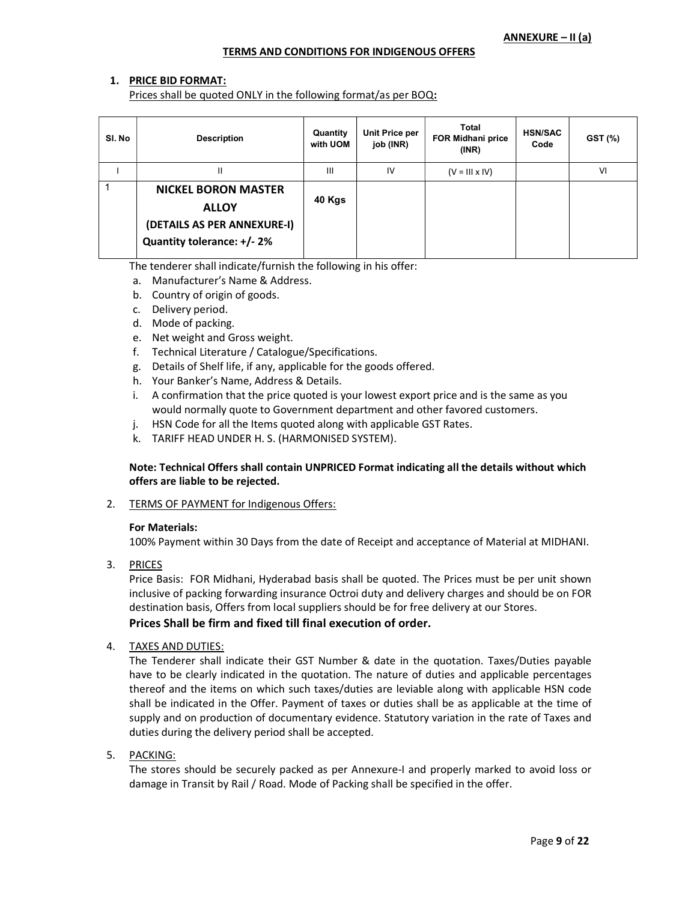#### TERMS AND CONDITIONS FOR INDIGENOUS OFFERS

## 1. PRICE BID FORMAT:

Prices shall be quoted ONLY in the following format/as per BOQ:

| SI. No | <b>Description</b>                                                                                      | Quantity<br>with UOM | Unit Price per<br>job (INR) | Total<br>FOR Midhani price<br>(INR) | <b>HSN/SAC</b><br>Code | GST (%) |
|--------|---------------------------------------------------------------------------------------------------------|----------------------|-----------------------------|-------------------------------------|------------------------|---------|
|        | $\mathbf{I}$                                                                                            | $\mathbf{III}$       | IV                          | $(V = III \times IV)$               |                        | VI      |
|        | <b>NICKEL BORON MASTER</b><br><b>ALLOY</b><br>(DETAILS AS PER ANNEXURE-I)<br>Quantity tolerance: +/- 2% | 40 Kgs               |                             |                                     |                        |         |

The tenderer shall indicate/furnish the following in his offer:

- a. Manufacturer's Name & Address.
- b. Country of origin of goods.
- c. Delivery period.
- d. Mode of packing.
- e. Net weight and Gross weight.
- f. Technical Literature / Catalogue/Specifications.
- g. Details of Shelf life, if any, applicable for the goods offered.
- h. Your Banker's Name, Address & Details.
- i. A confirmation that the price quoted is your lowest export price and is the same as you would normally quote to Government department and other favored customers.
- j. HSN Code for all the Items quoted along with applicable GST Rates.
- k. TARIFF HEAD UNDER H. S. (HARMONISED SYSTEM).

#### Note: Technical Offers shall contain UNPRICED Format indicating all the details without which offers are liable to be rejected.

2. TERMS OF PAYMENT for Indigenous Offers:

#### For Materials:

100% Payment within 30 Days from the date of Receipt and acceptance of Material at MIDHANI.

3. PRICES

Price Basis: FOR Midhani, Hyderabad basis shall be quoted. The Prices must be per unit shown inclusive of packing forwarding insurance Octroi duty and delivery charges and should be on FOR destination basis, Offers from local suppliers should be for free delivery at our Stores. Prices Shall be firm and fixed till final execution of order.

4. TAXES AND DUTIES:

The Tenderer shall indicate their GST Number & date in the quotation. Taxes/Duties payable have to be clearly indicated in the quotation. The nature of duties and applicable percentages thereof and the items on which such taxes/duties are leviable along with applicable HSN code shall be indicated in the Offer. Payment of taxes or duties shall be as applicable at the time of supply and on production of documentary evidence. Statutory variation in the rate of Taxes and duties during the delivery period shall be accepted.

5. PACKING:

The stores should be securely packed as per Annexure-I and properly marked to avoid loss or damage in Transit by Rail / Road. Mode of Packing shall be specified in the offer.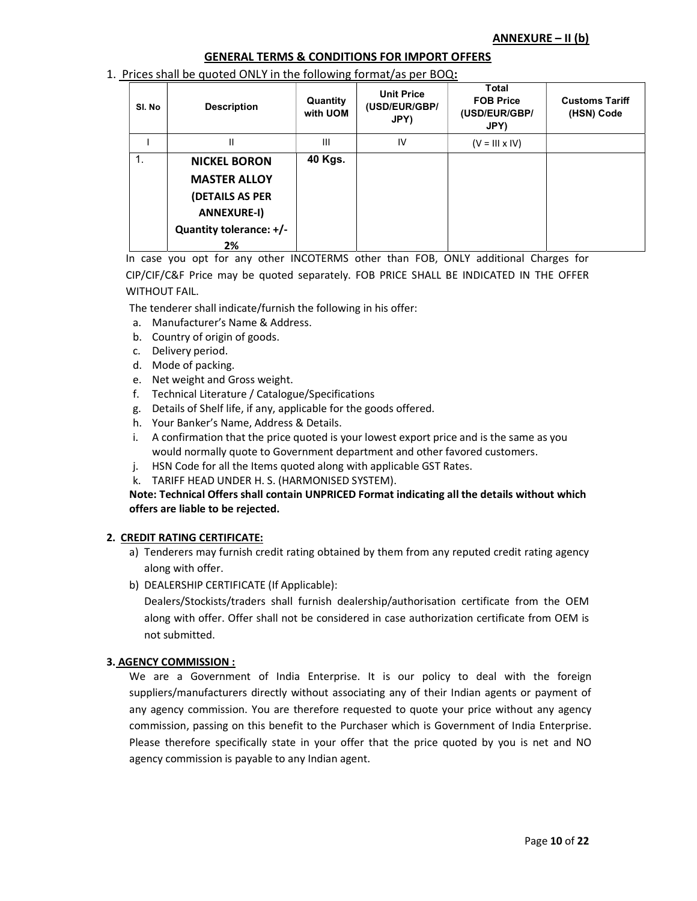## GENERAL TERMS & CONDITIONS FOR IMPORT OFFERS

#### 1. Prices shall be quoted ONLY in the following format/as per BOQ:

| SI. No | <b>Description</b>                                                                                                   | Quantity<br>with UOM | <b>Unit Price</b><br>(USD/EUR/GBP/<br>JPY) | Total<br><b>FOB Price</b><br>(USD/EUR/GBP/<br>JPY) | <b>Customs Tariff</b><br>(HSN) Code |
|--------|----------------------------------------------------------------------------------------------------------------------|----------------------|--------------------------------------------|----------------------------------------------------|-------------------------------------|
|        | н                                                                                                                    | Ш                    | IV                                         | $(V = III \times IV)$                              |                                     |
| 1.     | <b>NICKEL BORON</b><br><b>MASTER ALLOY</b><br>(DETAILS AS PER<br><b>ANNEXURE-I)</b><br>Quantity tolerance: +/-<br>2% | 40 Kgs.              |                                            |                                                    |                                     |

In case you opt for any other INCOTERMS other than FOB, ONLY additional Charges for

CIP/CIF/C&F Price may be quoted separately. FOB PRICE SHALL BE INDICATED IN THE OFFER WITHOUT FAIL.

The tenderer shall indicate/furnish the following in his offer:

- a. Manufacturer's Name & Address.
- b. Country of origin of goods.
- c. Delivery period.
- d. Mode of packing.
- e. Net weight and Gross weight.
- f. Technical Literature / Catalogue/Specifications
- g. Details of Shelf life, if any, applicable for the goods offered.
- h. Your Banker's Name, Address & Details.
- i. A confirmation that the price quoted is your lowest export price and is the same as you would normally quote to Government department and other favored customers.
- j. HSN Code for all the Items quoted along with applicable GST Rates.
- k. TARIFF HEAD UNDER H. S. (HARMONISED SYSTEM).

Note: Technical Offers shall contain UNPRICED Format indicating all the details without which offers are liable to be rejected.

#### 2. CREDIT RATING CERTIFICATE:

- a) Tenderers may furnish credit rating obtained by them from any reputed credit rating agency along with offer.
- b) DEALERSHIP CERTIFICATE (If Applicable):

Dealers/Stockists/traders shall furnish dealership/authorisation certificate from the OEM along with offer. Offer shall not be considered in case authorization certificate from OEM is not submitted.

#### 3. AGENCY COMMISSION :

We are a Government of India Enterprise. It is our policy to deal with the foreign suppliers/manufacturers directly without associating any of their Indian agents or payment of any agency commission. You are therefore requested to quote your price without any agency commission, passing on this benefit to the Purchaser which is Government of India Enterprise. Please therefore specifically state in your offer that the price quoted by you is net and NO agency commission is payable to any Indian agent.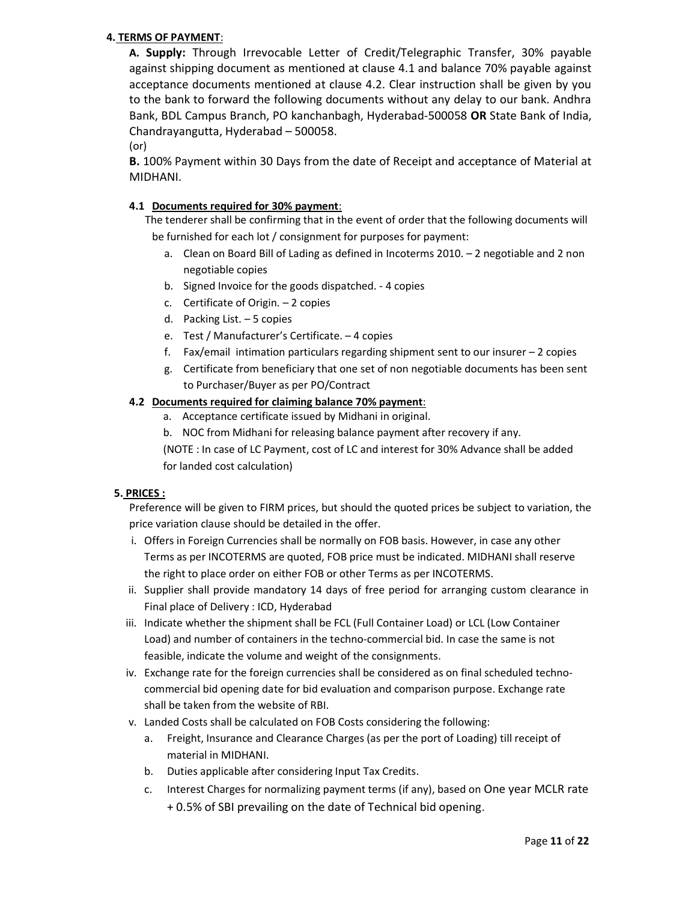# 4. TERMS OF PAYMENT:

A. Supply: Through Irrevocable Letter of Credit/Telegraphic Transfer, 30% payable against shipping document as mentioned at clause 4.1 and balance 70% payable against acceptance documents mentioned at clause 4.2. Clear instruction shall be given by you to the bank to forward the following documents without any delay to our bank. Andhra Bank, BDL Campus Branch, PO kanchanbagh, Hyderabad-500058 OR State Bank of India, Chandrayangutta, Hyderabad – 500058.

(or)

B. 100% Payment within 30 Days from the date of Receipt and acceptance of Material at MIDHANI.

# 4.1 Documents required for 30% payment:

The tenderer shall be confirming that in the event of order that the following documents will be furnished for each lot / consignment for purposes for payment:

- a. Clean on Board Bill of Lading as defined in Incoterms 2010. 2 negotiable and 2 non negotiable copies
- b. Signed Invoice for the goods dispatched. 4 copies
- c. Certificate of Origin. 2 copies
- d. Packing List. 5 copies
- e. Test / Manufacturer's Certificate. 4 copies
- f. Fax/email intimation particulars regarding shipment sent to our insurer 2 copies
- g. Certificate from beneficiary that one set of non negotiable documents has been sent to Purchaser/Buyer as per PO/Contract

# 4.2 Documents required for claiming balance 70% payment:

- a. Acceptance certificate issued by Midhani in original.
- b. NOC from Midhani for releasing balance payment after recovery if any.

(NOTE : In case of LC Payment, cost of LC and interest for 30% Advance shall be added for landed cost calculation)

# 5. PRICES :

Preference will be given to FIRM prices, but should the quoted prices be subject to variation, the price variation clause should be detailed in the offer.

- i. Offers in Foreign Currencies shall be normally on FOB basis. However, in case any other Terms as per INCOTERMS are quoted, FOB price must be indicated. MIDHANI shall reserve the right to place order on either FOB or other Terms as per INCOTERMS.
- ii. Supplier shall provide mandatory 14 days of free period for arranging custom clearance in Final place of Delivery : ICD, Hyderabad
- iii. Indicate whether the shipment shall be FCL (Full Container Load) or LCL (Low Container Load) and number of containers in the techno-commercial bid. In case the same is not feasible, indicate the volume and weight of the consignments.
- iv. Exchange rate for the foreign currencies shall be considered as on final scheduled technocommercial bid opening date for bid evaluation and comparison purpose. Exchange rate shall be taken from the website of RBI.
- v. Landed Costs shall be calculated on FOB Costs considering the following:
	- a. Freight, Insurance and Clearance Charges (as per the port of Loading) till receipt of material in MIDHANI.
	- b. Duties applicable after considering Input Tax Credits.
	- c. Interest Charges for normalizing payment terms (if any), based on One year MCLR rate + 0.5% of SBI prevailing on the date of Technical bid opening.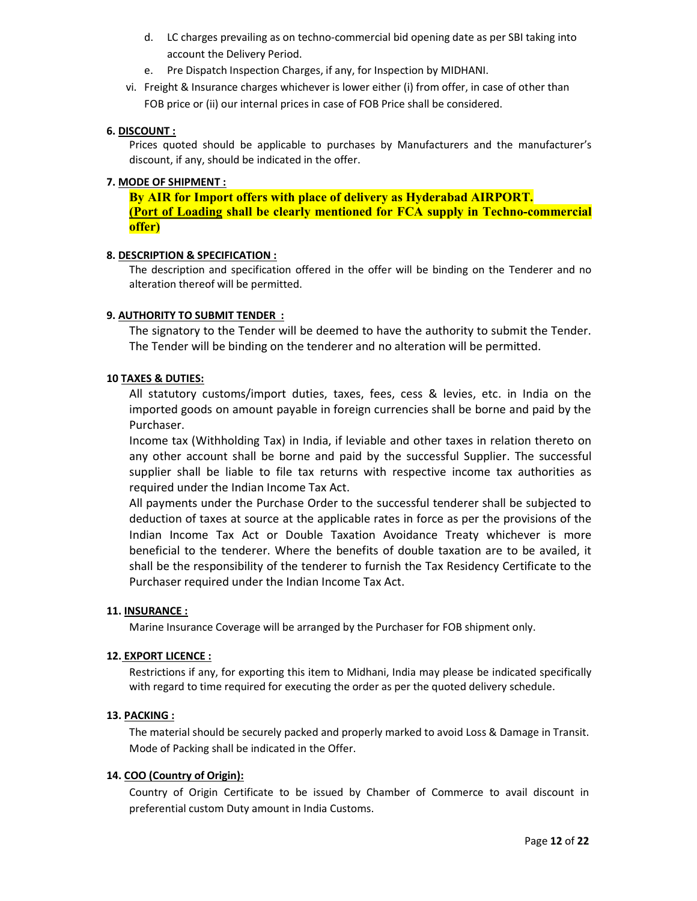- d. LC charges prevailing as on techno-commercial bid opening date as per SBI taking into account the Delivery Period.
- e. Pre Dispatch Inspection Charges, if any, for Inspection by MIDHANI.
- vi. Freight & Insurance charges whichever is lower either (i) from offer, in case of other than FOB price or (ii) our internal prices in case of FOB Price shall be considered.

## 6. DISCOUNT :

Prices quoted should be applicable to purchases by Manufacturers and the manufacturer's discount, if any, should be indicated in the offer.

#### 7. MODE OF SHIPMENT :

By AIR for Import offers with place of delivery as Hyderabad AIRPORT. (Port of Loading shall be clearly mentioned for FCA supply in Techno-commercial offer)

## 8. DESCRIPTION & SPECIFICATION :

The description and specification offered in the offer will be binding on the Tenderer and no alteration thereof will be permitted.

## 9. AUTHORITY TO SUBMIT TENDER :

The signatory to the Tender will be deemed to have the authority to submit the Tender. The Tender will be binding on the tenderer and no alteration will be permitted.

## 10 TAXES & DUTIES:

All statutory customs/import duties, taxes, fees, cess & levies, etc. in India on the imported goods on amount payable in foreign currencies shall be borne and paid by the Purchaser.

Income tax (Withholding Tax) in India, if leviable and other taxes in relation thereto on any other account shall be borne and paid by the successful Supplier. The successful supplier shall be liable to file tax returns with respective income tax authorities as required under the Indian Income Tax Act.

All payments under the Purchase Order to the successful tenderer shall be subjected to deduction of taxes at source at the applicable rates in force as per the provisions of the Indian Income Tax Act or Double Taxation Avoidance Treaty whichever is more beneficial to the tenderer. Where the benefits of double taxation are to be availed, it shall be the responsibility of the tenderer to furnish the Tax Residency Certificate to the Purchaser required under the Indian Income Tax Act.

#### 11. INSURANCE :

Marine Insurance Coverage will be arranged by the Purchaser for FOB shipment only.

#### 12. EXPORT LICENCE :

Restrictions if any, for exporting this item to Midhani, India may please be indicated specifically with regard to time required for executing the order as per the quoted delivery schedule.

#### 13. PACKING :

The material should be securely packed and properly marked to avoid Loss & Damage in Transit. Mode of Packing shall be indicated in the Offer.

#### 14. COO (Country of Origin):

Country of Origin Certificate to be issued by Chamber of Commerce to avail discount in preferential custom Duty amount in India Customs.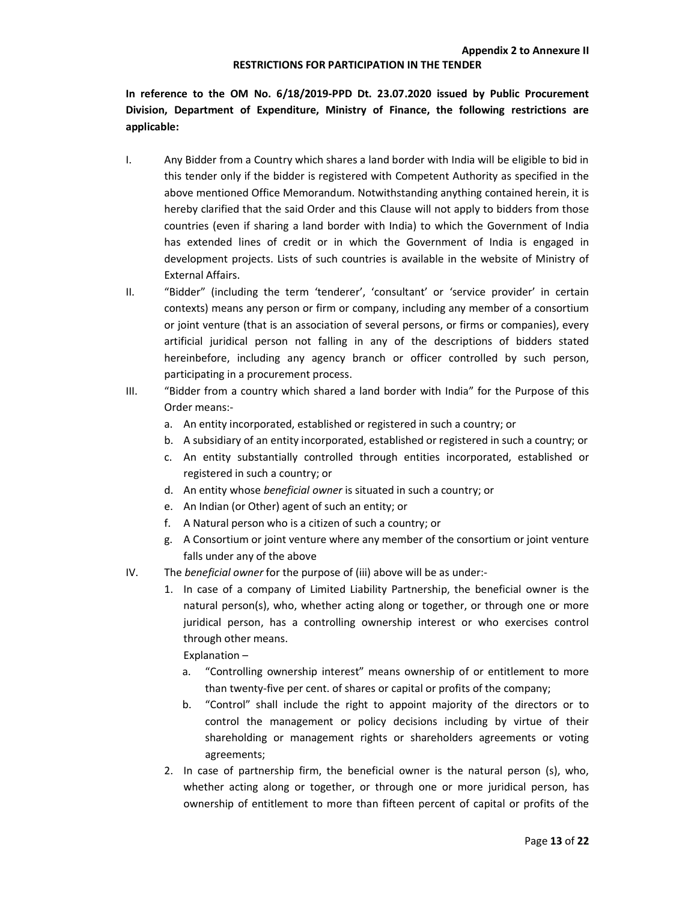#### RESTRICTIONS FOR PARTICIPATION IN THE TENDER

In reference to the OM No. 6/18/2019-PPD Dt. 23.07.2020 issued by Public Procurement Division, Department of Expenditure, Ministry of Finance, the following restrictions are applicable:

- I. Any Bidder from a Country which shares a land border with India will be eligible to bid in this tender only if the bidder is registered with Competent Authority as specified in the above mentioned Office Memorandum. Notwithstanding anything contained herein, it is hereby clarified that the said Order and this Clause will not apply to bidders from those countries (even if sharing a land border with India) to which the Government of India has extended lines of credit or in which the Government of India is engaged in development projects. Lists of such countries is available in the website of Ministry of External Affairs.
- II. "Bidder" (including the term 'tenderer', 'consultant' or 'service provider' in certain contexts) means any person or firm or company, including any member of a consortium or joint venture (that is an association of several persons, or firms or companies), every artificial juridical person not falling in any of the descriptions of bidders stated hereinbefore, including any agency branch or officer controlled by such person, participating in a procurement process.
- III. "Bidder from a country which shared a land border with India" for the Purpose of this Order means:
	- a. An entity incorporated, established or registered in such a country; or
	- b. A subsidiary of an entity incorporated, established or registered in such a country; or
	- c. An entity substantially controlled through entities incorporated, established or registered in such a country; or
	- d. An entity whose beneficial owner is situated in such a country; or
	- e. An Indian (or Other) agent of such an entity; or
	- f. A Natural person who is a citizen of such a country; or
	- g. A Consortium or joint venture where any member of the consortium or joint venture falls under any of the above
- IV. The *beneficial owner* for the purpose of (iii) above will be as under:-
	- 1. In case of a company of Limited Liability Partnership, the beneficial owner is the natural person(s), who, whether acting along or together, or through one or more juridical person, has a controlling ownership interest or who exercises control through other means.

Explanation –

- a. "Controlling ownership interest" means ownership of or entitlement to more than twenty-five per cent. of shares or capital or profits of the company;
- b. "Control" shall include the right to appoint majority of the directors or to control the management or policy decisions including by virtue of their shareholding or management rights or shareholders agreements or voting agreements;
- 2. In case of partnership firm, the beneficial owner is the natural person (s), who, whether acting along or together, or through one or more juridical person, has ownership of entitlement to more than fifteen percent of capital or profits of the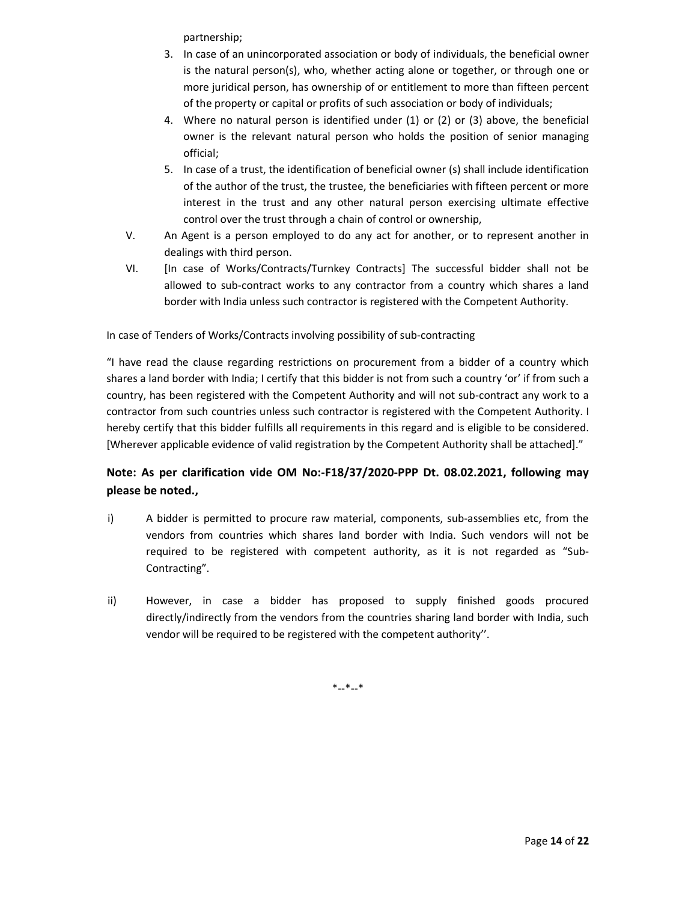partnership;

- 3. In case of an unincorporated association or body of individuals, the beneficial owner is the natural person(s), who, whether acting alone or together, or through one or more juridical person, has ownership of or entitlement to more than fifteen percent of the property or capital or profits of such association or body of individuals;
- 4. Where no natural person is identified under (1) or (2) or (3) above, the beneficial owner is the relevant natural person who holds the position of senior managing official;
- 5. In case of a trust, the identification of beneficial owner (s) shall include identification of the author of the trust, the trustee, the beneficiaries with fifteen percent or more interest in the trust and any other natural person exercising ultimate effective control over the trust through a chain of control or ownership,
- V. An Agent is a person employed to do any act for another, or to represent another in dealings with third person.
- VI. [In case of Works/Contracts/Turnkey Contracts] The successful bidder shall not be allowed to sub-contract works to any contractor from a country which shares a land border with India unless such contractor is registered with the Competent Authority.

In case of Tenders of Works/Contracts involving possibility of sub-contracting

"I have read the clause regarding restrictions on procurement from a bidder of a country which shares a land border with India; I certify that this bidder is not from such a country 'or' if from such a country, has been registered with the Competent Authority and will not sub-contract any work to a contractor from such countries unless such contractor is registered with the Competent Authority. I hereby certify that this bidder fulfills all requirements in this regard and is eligible to be considered. [Wherever applicable evidence of valid registration by the Competent Authority shall be attached]."

# Note: As per clarification vide OM No:-F18/37/2020-PPP Dt. 08.02.2021, following may please be noted.,

- i) A bidder is permitted to procure raw material, components, sub-assemblies etc, from the vendors from countries which shares land border with India. Such vendors will not be required to be registered with competent authority, as it is not regarded as "Sub-Contracting".
- ii) However, in case a bidder has proposed to supply finished goods procured directly/indirectly from the vendors from the countries sharing land border with India, such vendor will be required to be registered with the competent authority''.

\*--\*--\*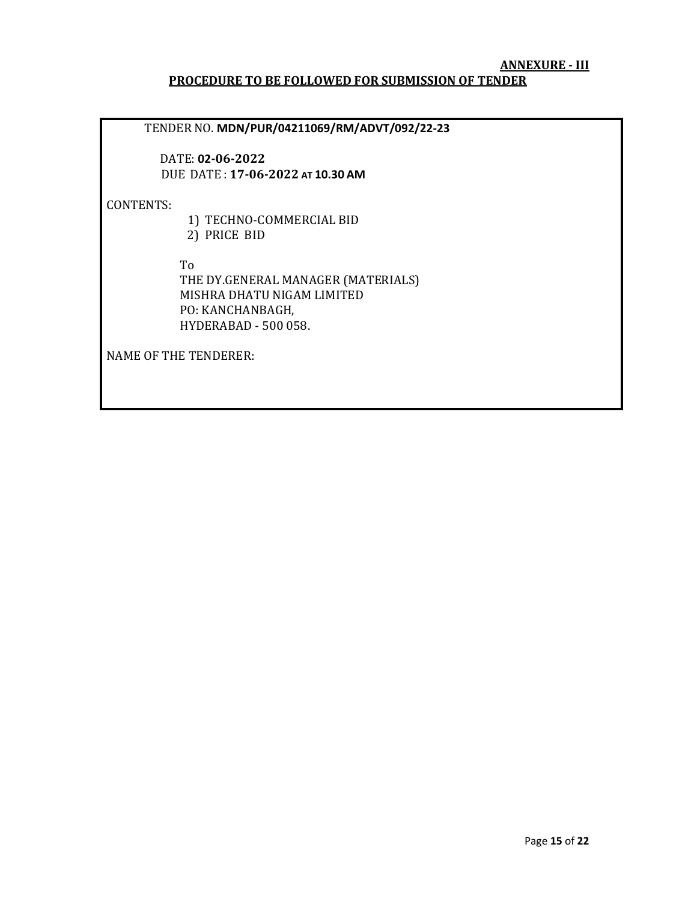## ANNEXURE - III PROCEDURE TO BE FOLLOWED FOR SUBMISSION OF TENDER

TENDER NO. MDN/PUR/04211069/RM/ADVT/092/22-23

 DATE: 02-06-2022 DUE DATE : 17-06-2022 AT 10.30 AM

CONTENTS:

 1) TECHNO-COMMERCIAL BID 2) PRICE BID

To

 THE DY.GENERAL MANAGER (MATERIALS) MISHRA DHATU NIGAM LIMITED PO: KANCHANBAGH, HYDERABAD - 500 058.

NAME OF THE TENDERER: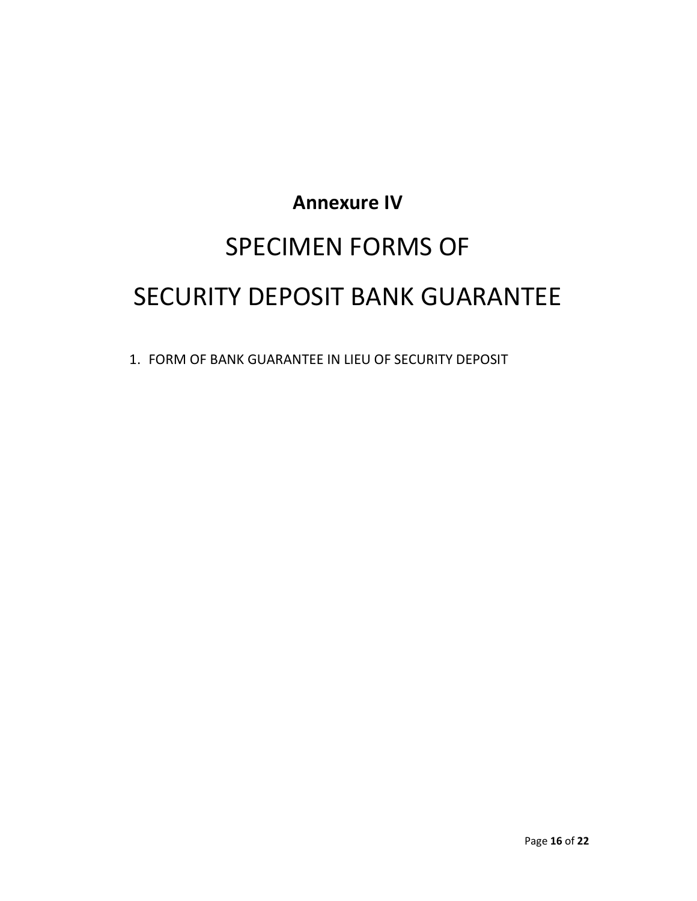# Annexure IV SPECIMEN FORMS OF SECURITY DEPOSIT BANK GUARANTEE

1. FORM OF BANK GUARANTEE IN LIEU OF SECURITY DEPOSIT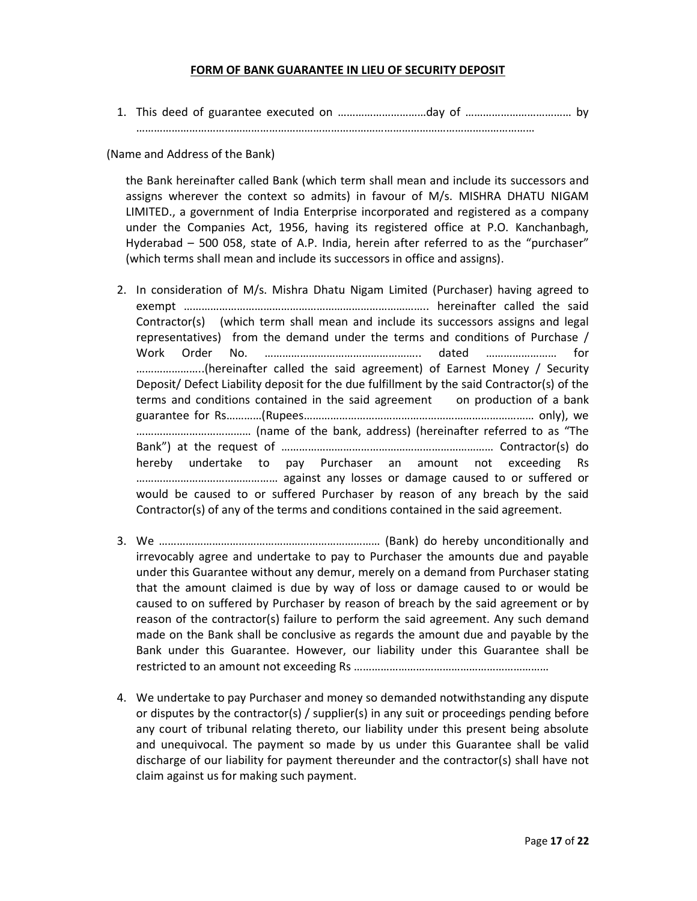## FORM OF BANK GUARANTEE IN LIEU OF SECURITY DEPOSIT

1. This deed of guarantee executed on …………………………day of ……………………………… by

………………………………………………………………………………………………………………………

(Name and Address of the Bank)

the Bank hereinafter called Bank (which term shall mean and include its successors and assigns wherever the context so admits) in favour of M/s. MISHRA DHATU NIGAM LIMITED., a government of India Enterprise incorporated and registered as a company under the Companies Act, 1956, having its registered office at P.O. Kanchanbagh, Hyderabad – 500 058, state of A.P. India, herein after referred to as the "purchaser" (which terms shall mean and include its successors in office and assigns).

- 2. In consideration of M/s. Mishra Dhatu Nigam Limited (Purchaser) having agreed to exempt ……………………………………………………………………….. hereinafter called the said Contractor(s) (which term shall mean and include its successors assigns and legal representatives) from the demand under the terms and conditions of Purchase / Work Order No. …………………………………………….. dated …………………… for …………………..(hereinafter called the said agreement) of Earnest Money / Security Deposit/ Defect Liability deposit for the due fulfillment by the said Contractor(s) of the terms and conditions contained in the said agreement on production of a bank guarantee for Rs…………(Rupees…………………………………………………………………… only), we ………………………………… (name of the bank, address) (hereinafter referred to as "The Bank") at the request of ……………………………………………………………… Contractor(s) do hereby undertake to pay Purchaser an amount not exceeding Rs ………………………………………… against any losses or damage caused to or suffered or would be caused to or suffered Purchaser by reason of any breach by the said Contractor(s) of any of the terms and conditions contained in the said agreement.
- 3. We ………………………………………………………………… (Bank) do hereby unconditionally and irrevocably agree and undertake to pay to Purchaser the amounts due and payable under this Guarantee without any demur, merely on a demand from Purchaser stating that the amount claimed is due by way of loss or damage caused to or would be caused to on suffered by Purchaser by reason of breach by the said agreement or by reason of the contractor(s) failure to perform the said agreement. Any such demand made on the Bank shall be conclusive as regards the amount due and payable by the Bank under this Guarantee. However, our liability under this Guarantee shall be restricted to an amount not exceeding Rs …………………………………………………………
- 4. We undertake to pay Purchaser and money so demanded notwithstanding any dispute or disputes by the contractor(s) / supplier(s) in any suit or proceedings pending before any court of tribunal relating thereto, our liability under this present being absolute and unequivocal. The payment so made by us under this Guarantee shall be valid discharge of our liability for payment thereunder and the contractor(s) shall have not claim against us for making such payment.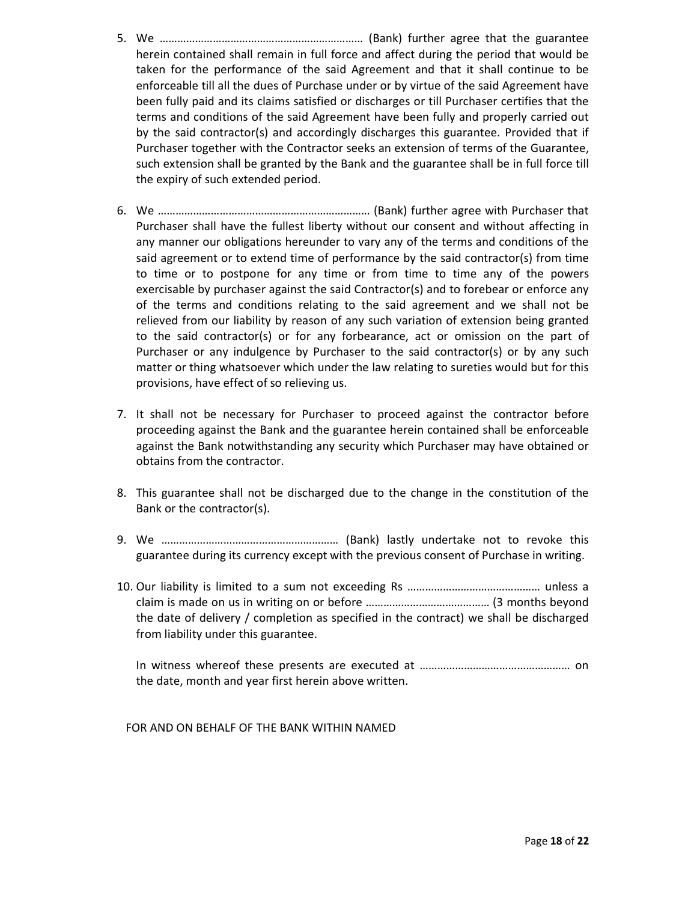- 5. We …………………………………………………………… (Bank) further agree that the guarantee herein contained shall remain in full force and affect during the period that would be taken for the performance of the said Agreement and that it shall continue to be enforceable till all the dues of Purchase under or by virtue of the said Agreement have been fully paid and its claims satisfied or discharges or till Purchaser certifies that the terms and conditions of the said Agreement have been fully and properly carried out by the said contractor(s) and accordingly discharges this guarantee. Provided that if Purchaser together with the Contractor seeks an extension of terms of the Guarantee, such extension shall be granted by the Bank and the guarantee shall be in full force till the expiry of such extended period.
- 6. We ……………………………………………………………… (Bank) further agree with Purchaser that Purchaser shall have the fullest liberty without our consent and without affecting in any manner our obligations hereunder to vary any of the terms and conditions of the said agreement or to extend time of performance by the said contractor(s) from time to time or to postpone for any time or from time to time any of the powers exercisable by purchaser against the said Contractor(s) and to forebear or enforce any of the terms and conditions relating to the said agreement and we shall not be relieved from our liability by reason of any such variation of extension being granted to the said contractor(s) or for any forbearance, act or omission on the part of Purchaser or any indulgence by Purchaser to the said contractor(s) or by any such matter or thing whatsoever which under the law relating to sureties would but for this provisions, have effect of so relieving us.
- 7. It shall not be necessary for Purchaser to proceed against the contractor before proceeding against the Bank and the guarantee herein contained shall be enforceable against the Bank notwithstanding any security which Purchaser may have obtained or obtains from the contractor.
- 8. This guarantee shall not be discharged due to the change in the constitution of the Bank or the contractor(s).
- 9. We …………………………………………………… (Bank) lastly undertake not to revoke this guarantee during its currency except with the previous consent of Purchase in writing.
- 10. Our liability is limited to a sum not exceeding Rs ……………………………………… unless a claim is made on us in writing on or before …………………………………… (3 months beyond the date of delivery / completion as specified in the contract) we shall be discharged from liability under this guarantee.

In witness whereof these presents are executed at …………………………………………… on the date, month and year first herein above written.

FOR AND ON BEHALF OF THE BANK WITHIN NAMED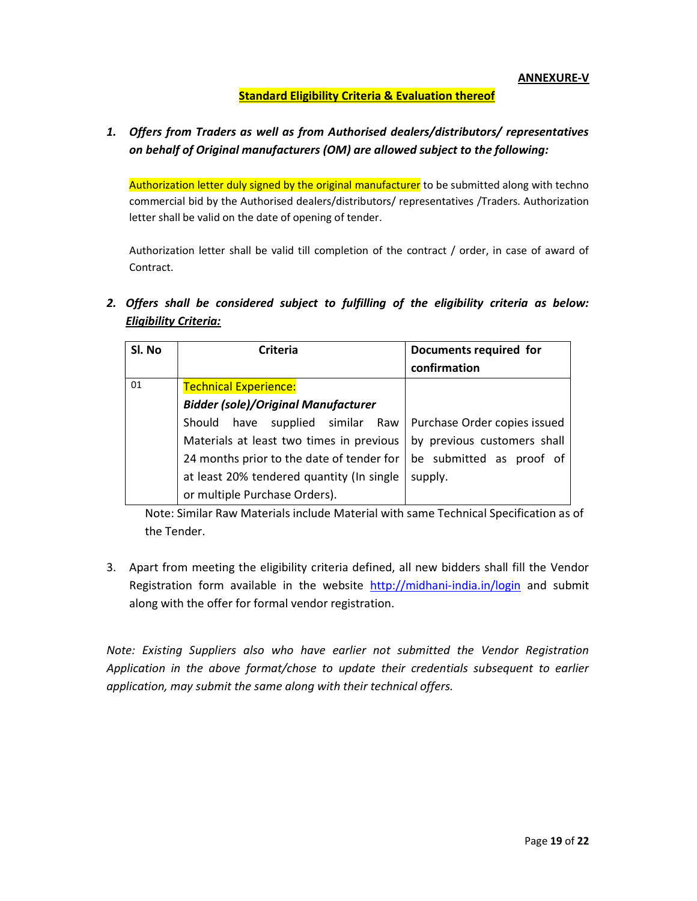ANNEXURE-V

# Standard Eligibility Criteria & Evaluation thereof

# 1. Offers from Traders as well as from Authorised dealers/distributors/ representatives on behalf of Original manufacturers (OM) are allowed subject to the following:

Authorization letter duly signed by the original manufacturer to be submitted along with techno commercial bid by the Authorised dealers/distributors/ representatives /Traders. Authorization letter shall be valid on the date of opening of tender.

Authorization letter shall be valid till completion of the contract / order, in case of award of Contract.

2. Offers shall be considered subject to fulfilling of the eligibility criteria as below: Eligibility Criteria:

| Sl. No | <b>Criteria</b>                            | Documents required for<br>confirmation |
|--------|--------------------------------------------|----------------------------------------|
| 01     | <b>Technical Experience:</b>               |                                        |
|        | <b>Bidder (sole)/Original Manufacturer</b> |                                        |
|        | Should have supplied similar Raw           | Purchase Order copies issued           |
|        | Materials at least two times in previous   | by previous customers shall            |
|        | 24 months prior to the date of tender for  | be submitted as proof of               |
|        | at least 20% tendered quantity (In single  | supply.                                |
|        | or multiple Purchase Orders).              |                                        |

Note: Similar Raw Materials include Material with same Technical Specification as of the Tender.

3. Apart from meeting the eligibility criteria defined, all new bidders shall fill the Vendor Registration form available in the website http://midhani-india.in/login and submit along with the offer for formal vendor registration.

Note: Existing Suppliers also who have earlier not submitted the Vendor Registration Application in the above format/chose to update their credentials subsequent to earlier application, may submit the same along with their technical offers.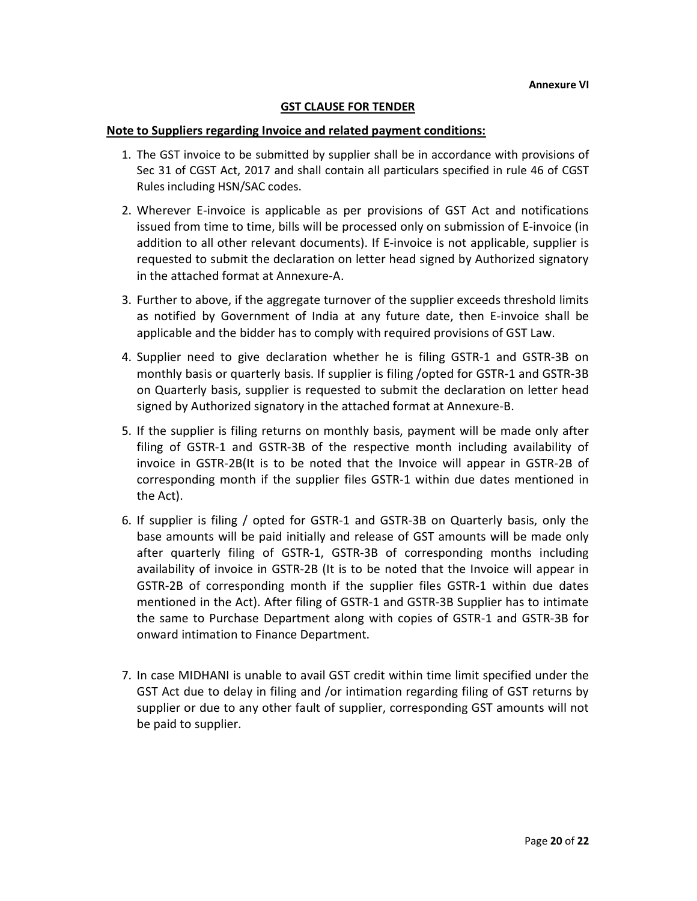## GST CLAUSE FOR TENDER

#### Note to Suppliers regarding Invoice and related payment conditions:

- 1. The GST invoice to be submitted by supplier shall be in accordance with provisions of Sec 31 of CGST Act, 2017 and shall contain all particulars specified in rule 46 of CGST Rules including HSN/SAC codes.
- 2. Wherever E-invoice is applicable as per provisions of GST Act and notifications issued from time to time, bills will be processed only on submission of E-invoice (in addition to all other relevant documents). If E-invoice is not applicable, supplier is requested to submit the declaration on letter head signed by Authorized signatory in the attached format at Annexure-A.
- 3. Further to above, if the aggregate turnover of the supplier exceeds threshold limits as notified by Government of India at any future date, then E-invoice shall be applicable and the bidder has to comply with required provisions of GST Law.
- 4. Supplier need to give declaration whether he is filing GSTR-1 and GSTR-3B on monthly basis or quarterly basis. If supplier is filing /opted for GSTR-1 and GSTR-3B on Quarterly basis, supplier is requested to submit the declaration on letter head signed by Authorized signatory in the attached format at Annexure-B.
- 5. If the supplier is filing returns on monthly basis, payment will be made only after filing of GSTR-1 and GSTR-3B of the respective month including availability of invoice in GSTR-2B(It is to be noted that the Invoice will appear in GSTR-2B of corresponding month if the supplier files GSTR-1 within due dates mentioned in the Act).
- 6. If supplier is filing / opted for GSTR-1 and GSTR-3B on Quarterly basis, only the base amounts will be paid initially and release of GST amounts will be made only after quarterly filing of GSTR-1, GSTR-3B of corresponding months including availability of invoice in GSTR-2B (It is to be noted that the Invoice will appear in GSTR-2B of corresponding month if the supplier files GSTR-1 within due dates mentioned in the Act). After filing of GSTR-1 and GSTR-3B Supplier has to intimate the same to Purchase Department along with copies of GSTR-1 and GSTR-3B for onward intimation to Finance Department.
- 7. In case MIDHANI is unable to avail GST credit within time limit specified under the GST Act due to delay in filing and /or intimation regarding filing of GST returns by supplier or due to any other fault of supplier, corresponding GST amounts will not be paid to supplier.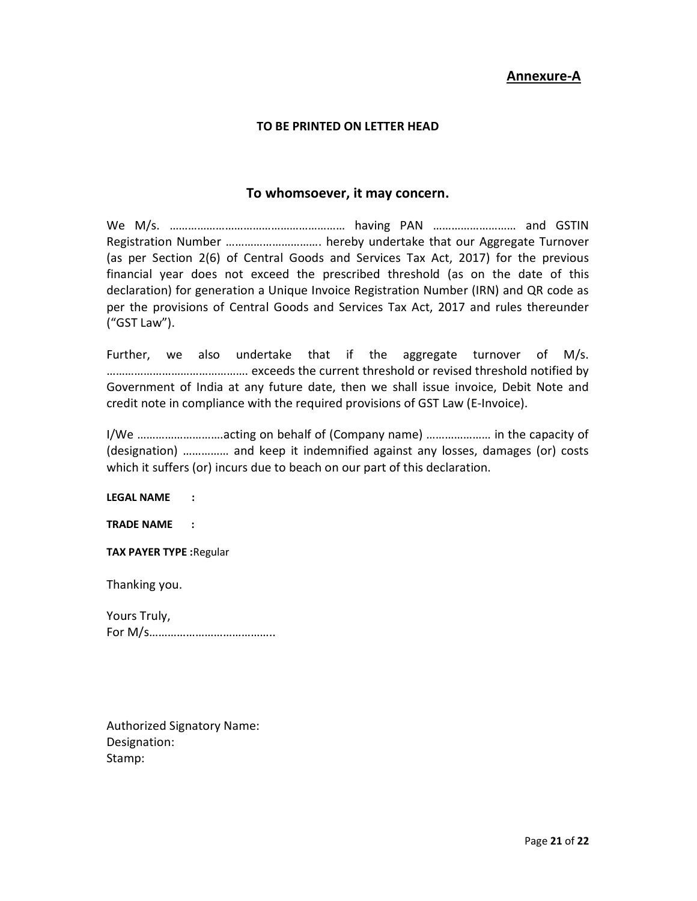# Annexure-A

## TO BE PRINTED ON LETTER HEAD

# To whomsoever, it may concern.

We M/s. ………………………………………………… having PAN ……………………… and GSTIN Registration Number …………………………. hereby undertake that our Aggregate Turnover (as per Section 2(6) of Central Goods and Services Tax Act, 2017) for the previous financial year does not exceed the prescribed threshold (as on the date of this declaration) for generation a Unique Invoice Registration Number (IRN) and QR code as per the provisions of Central Goods and Services Tax Act, 2017 and rules thereunder ("GST Law").

Further, we also undertake that if the aggregate turnover of M/s. ………………………………………. exceeds the current threshold or revised threshold notified by Government of India at any future date, then we shall issue invoice, Debit Note and credit note in compliance with the required provisions of GST Law (E-Invoice).

I/We ……………………….acting on behalf of (Company name) ………………… in the capacity of (designation) …………… and keep it indemnified against any losses, damages (or) costs which it suffers (or) incurs due to beach on our part of this declaration.

LEGAL NAME :

TRADE NAME :

TAX PAYER TYPE :Regular

Thanking you.

Yours Truly, For M/s…………………………………..

Authorized Signatory Name: Designation: Stamp: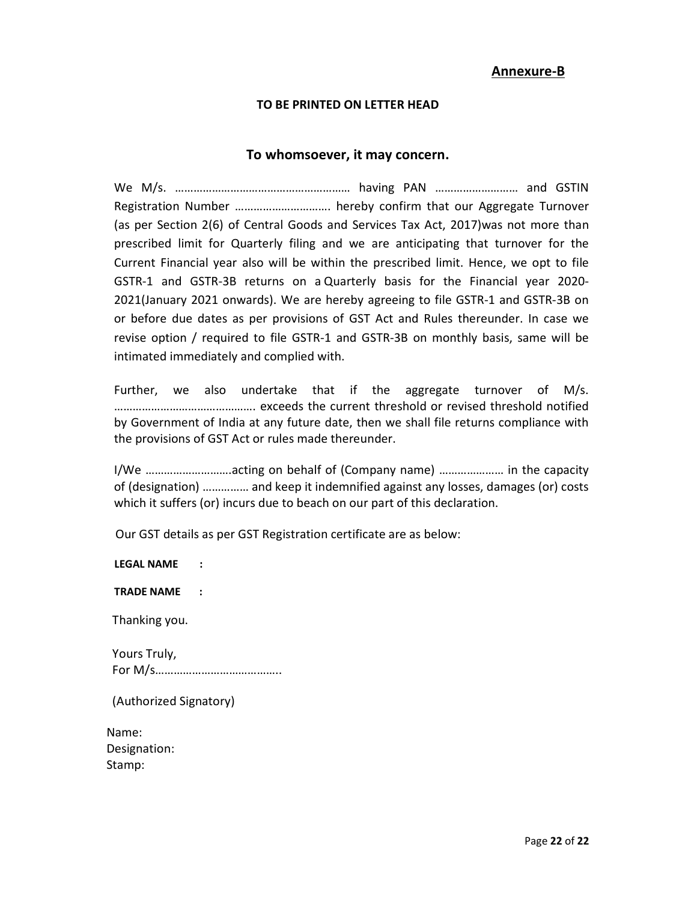# Annexure-B

# TO BE PRINTED ON LETTER HEAD

# To whomsoever, it may concern.

We M/s. ………………………………………………… having PAN ……………………… and GSTIN Registration Number …………………………. hereby confirm that our Aggregate Turnover (as per Section 2(6) of Central Goods and Services Tax Act, 2017)was not more than prescribed limit for Quarterly filing and we are anticipating that turnover for the Current Financial year also will be within the prescribed limit. Hence, we opt to file GSTR-1 and GSTR-3B returns on a Quarterly basis for the Financial year 2020- 2021(January 2021 onwards). We are hereby agreeing to file GSTR-1 and GSTR-3B on or before due dates as per provisions of GST Act and Rules thereunder. In case we revise option / required to file GSTR-1 and GSTR-3B on monthly basis, same will be intimated immediately and complied with.

Further, we also undertake that if the aggregate turnover of M/s. ………………………………………. exceeds the current threshold or revised threshold notified by Government of India at any future date, then we shall file returns compliance with the provisions of GST Act or rules made thereunder.

I/We ……………………….acting on behalf of (Company name) ………………… in the capacity of (designation) …………… and keep it indemnified against any losses, damages (or) costs which it suffers (or) incurs due to beach on our part of this declaration.

Our GST details as per GST Registration certificate are as below:

LEGAL NAME :

TRADE NAME :

Thanking you.

 Yours Truly, For M/s…………………………………..

(Authorized Signatory)

Name: Designation: Stamp: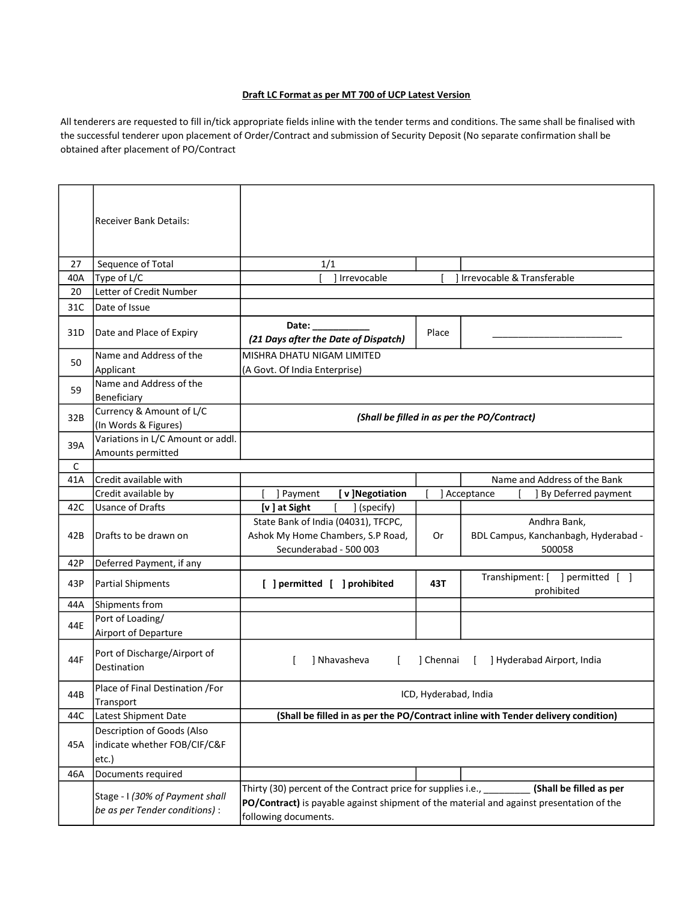#### Draft LC Format as per MT 700 of UCP Latest Version

All tenderers are requested to fill in/tick appropriate fields inline with the tender terms and conditions. The same shall be finalised with the successful tenderer upon placement of Order/Contract and submission of Security Deposit (No separate confirmation shall be obtained after placement of PO/Contract

|     | <b>Receiver Bank Details:</b>                                       |                                                                                                                                                                                          |           |                                                                |
|-----|---------------------------------------------------------------------|------------------------------------------------------------------------------------------------------------------------------------------------------------------------------------------|-----------|----------------------------------------------------------------|
| 27  | Sequence of Total                                                   | 1/1                                                                                                                                                                                      |           |                                                                |
| 40A | Type of L/C                                                         | I Irrevocable                                                                                                                                                                            |           | ] Irrevocable & Transferable                                   |
| 20  | Letter of Credit Number                                             |                                                                                                                                                                                          |           |                                                                |
| 31C | Date of Issue                                                       |                                                                                                                                                                                          |           |                                                                |
| 31D | Date and Place of Expiry                                            | Date:<br>(21 Days after the Date of Dispatch)                                                                                                                                            | Place     |                                                                |
| 50  | Name and Address of the<br>Applicant                                | MISHRA DHATU NIGAM LIMITED<br>(A Govt. Of India Enterprise)                                                                                                                              |           |                                                                |
| 59  | Name and Address of the<br>Beneficiary                              |                                                                                                                                                                                          |           |                                                                |
| 32B | Currency & Amount of L/C<br>(In Words & Figures)                    |                                                                                                                                                                                          |           | (Shall be filled in as per the PO/Contract)                    |
| 39A | Variations in L/C Amount or addl.<br>Amounts permitted              |                                                                                                                                                                                          |           |                                                                |
| C   |                                                                     |                                                                                                                                                                                          |           |                                                                |
| 41A | Credit available with                                               |                                                                                                                                                                                          |           | Name and Address of the Bank                                   |
|     | Credit available by                                                 | ] Payment<br>[v]Negotiation                                                                                                                                                              |           | ] Acceptance<br><b>J</b> By Deferred payment                   |
| 42C | <b>Usance of Drafts</b>                                             | [v] at Sight<br>] (specify)                                                                                                                                                              |           |                                                                |
| 42B | Drafts to be drawn on                                               | State Bank of India (04031), TFCPC,<br>Ashok My Home Chambers, S.P Road,<br>Secunderabad - 500 003                                                                                       | 0r        | Andhra Bank,<br>BDL Campus, Kanchanbagh, Hyderabad -<br>500058 |
| 42P | Deferred Payment, if any                                            |                                                                                                                                                                                          |           |                                                                |
| 43P | <b>Partial Shipments</b>                                            | [ ] permitted [ ] prohibited                                                                                                                                                             | 43T       | Transhipment: [ ] permitted [ ]<br>prohibited                  |
| 44A | Shipments from                                                      |                                                                                                                                                                                          |           |                                                                |
| 44E | Port of Loading/<br>Airport of Departure                            |                                                                                                                                                                                          |           |                                                                |
| 44F | Port of Discharge/Airport of<br>Destination                         | ] Nhavasheva<br>f.                                                                                                                                                                       | ] Chennai | ] Hyderabad Airport, India<br>L                                |
| 44B | Place of Final Destination /For<br>Transport                        | ICD, Hyderabad, India                                                                                                                                                                    |           |                                                                |
| 44C | Latest Shipment Date                                                | (Shall be filled in as per the PO/Contract inline with Tender delivery condition)                                                                                                        |           |                                                                |
| 45A | Description of Goods (Also<br>indicate whether FOB/CIF/C&F<br>etc.) |                                                                                                                                                                                          |           |                                                                |
| 46A | Documents required                                                  |                                                                                                                                                                                          |           |                                                                |
|     | Stage - I (30% of Payment shall<br>be as per Tender conditions) :   | Thirty (30) percent of the Contract price for supplies i.e., _______<br>PO/Contract) is payable against shipment of the material and against presentation of the<br>following documents. |           | (Shall be filled as per                                        |